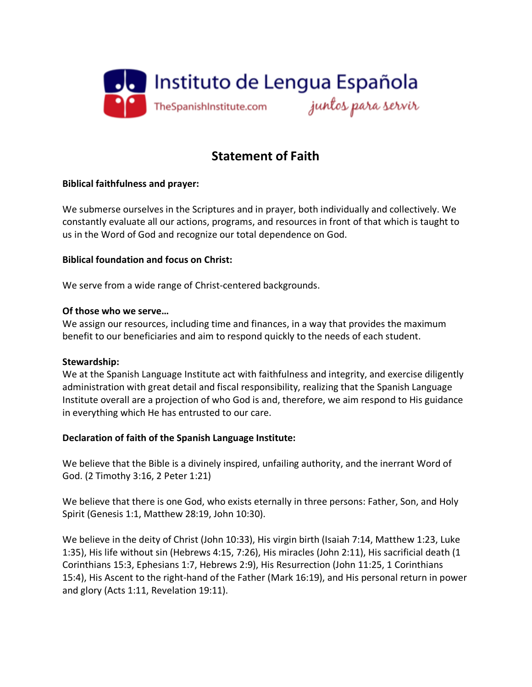

# **Statement of Faith**

# **Biblical faithfulness and prayer:**

We submerse ourselves in the Scriptures and in prayer, both individually and collectively. We constantly evaluate all our actions, programs, and resources in front of that which is taught to us in the Word of God and recognize our total dependence on God.

# **Biblical foundation and focus on Christ:**

We serve from a wide range of Christ-centered backgrounds.

# **Of those who we serve…**

We assign our resources, including time and finances, in a way that provides the maximum benefit to our beneficiaries and aim to respond quickly to the needs of each student.

### **Stewardship:**

We at the Spanish Language Institute act with faithfulness and integrity, and exercise diligently administration with great detail and fiscal responsibility, realizing that the Spanish Language Institute overall are a projection of who God is and, therefore, we aim respond to His guidance in everything which He has entrusted to our care.

### **Declaration of faith of the Spanish Language Institute:**

We believe that the Bible is a divinely inspired, unfailing authority, and the inerrant Word of God. (2 Timothy 3:16, 2 Peter 1:21)

We believe that there is one God, who exists eternally in three persons: Father, Son, and Holy Spirit (Genesis 1:1, Matthew 28:19, John 10:30).

We believe in the deity of Christ (John 10:33), His virgin birth (Isaiah 7:14, Matthew 1:23, Luke 1:35), His life without sin (Hebrews 4:15, 7:26), His miracles (John 2:11), His sacrificial death (1 Corinthians 15:3, Ephesians 1:7, Hebrews 2:9), His Resurrection (John 11:25, 1 Corinthians 15:4), His Ascent to the right-hand of the Father (Mark 16:19), and His personal return in power and glory (Acts 1:11, Revelation 19:11).